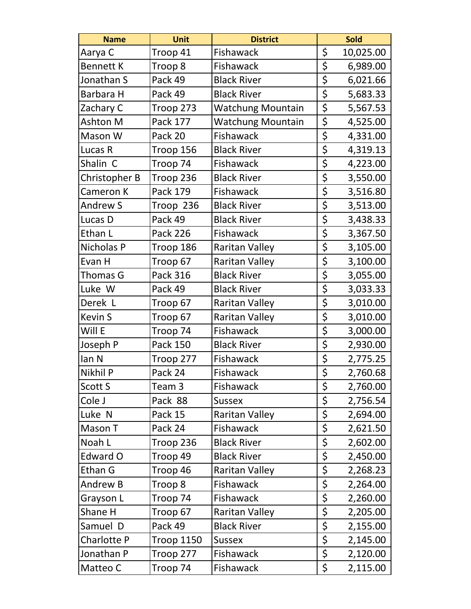| <b>Name</b>      | <b>Unit</b>       | <b>District</b>          |                                 | Sold      |
|------------------|-------------------|--------------------------|---------------------------------|-----------|
| Aarya C          | Troop 41          | Fishawack                | \$                              | 10,025.00 |
| <b>Bennett K</b> | Troop 8           | Fishawack                | \$                              | 6,989.00  |
| Jonathan S       | Pack 49           | <b>Black River</b>       | \$                              | 6,021.66  |
| Barbara H        | Pack 49           | <b>Black River</b>       | \$                              | 5,683.33  |
| Zachary C        | Troop 273         | Watchung Mountain        | \$                              | 5,567.53  |
| Ashton M         | Pack 177          | <b>Watchung Mountain</b> | \$                              | 4,525.00  |
| Mason W          | Pack 20           | Fishawack                | \$                              | 4,331.00  |
| Lucas R          | Troop 156         | <b>Black River</b>       | \$                              | 4,319.13  |
| Shalin C         | Troop 74          | Fishawack                | \$                              | 4,223.00  |
| Christopher B    | Troop 236         | <b>Black River</b>       | \$                              | 3,550.00  |
| Cameron K        | Pack 179          | Fishawack                | \$                              | 3,516.80  |
| <b>Andrew S</b>  | Troop 236         | <b>Black River</b>       | \$                              | 3,513.00  |
| Lucas D          | Pack 49           | <b>Black River</b>       | \$                              | 3,438.33  |
| Ethan L          | <b>Pack 226</b>   | Fishawack                | \$                              | 3,367.50  |
| Nicholas P       | Troop 186         | <b>Raritan Valley</b>    | \$                              | 3,105.00  |
| Evan H           | Troop 67          | <b>Raritan Valley</b>    | \$                              | 3,100.00  |
| Thomas G         | Pack 316          | <b>Black River</b>       | \$                              | 3,055.00  |
| Luke W           | Pack 49           | <b>Black River</b>       | \$                              | 3,033.33  |
| Derek L          | Troop 67          | <b>Raritan Valley</b>    | \$                              | 3,010.00  |
| Kevin S          | Troop 67          | <b>Raritan Valley</b>    | \$                              | 3,010.00  |
| Will E           | Troop 74          | Fishawack                | \$                              | 3,000.00  |
| Joseph P         | Pack 150          | <b>Black River</b>       | $\overline{\xi}$                | 2,930.00  |
| lan N            | Troop 277         | Fishawack                | $\overline{\xi}$                | 2,775.25  |
| Nikhil P         | Pack 24           | Fishawack                | $\overline{\boldsymbol{\zeta}}$ | 2,760.68  |
| Scott S          | Team <sub>3</sub> | Fishawack                | \$                              | 2,760.00  |
| Cole J           | Pack 88           | <b>Sussex</b>            | \$                              | 2,756.54  |
| Luke N           | Pack 15           | <b>Raritan Valley</b>    | \$                              | 2,694.00  |
| Mason T          | Pack 24           | Fishawack                | \$                              | 2,621.50  |
| Noah L           | Troop 236         | <b>Black River</b>       | \$                              | 2,602.00  |
| Edward O         | Troop 49          | <b>Black River</b>       | \$                              | 2,450.00  |
| Ethan G          | Troop 46          | Raritan Valley           | \$                              | 2,268.23  |
| Andrew B         | Troop 8           | Fishawack                | \$                              | 2,264.00  |
| Grayson L        | Troop 74          | Fishawack                | \$                              | 2,260.00  |
| Shane H          | Troop 67          | Raritan Valley           | \$                              | 2,205.00  |
| Samuel D         | Pack 49           | <b>Black River</b>       | \$                              | 2,155.00  |
| Charlotte P      | Troop 1150        | <b>Sussex</b>            | \$                              | 2,145.00  |
| Jonathan P       | Troop 277         | <b>Fishawack</b>         | \$                              | 2,120.00  |
| Matteo C         | Troop 74          | Fishawack                | \$                              | 2,115.00  |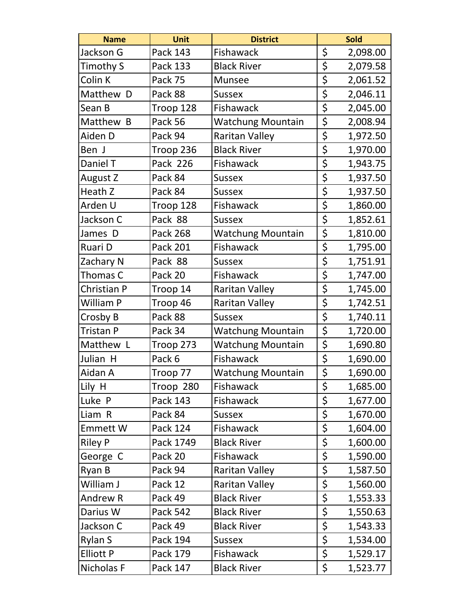| <b>Name</b>      | <b>Unit</b>     | <b>District</b>          |                         | <b>Sold</b> |
|------------------|-----------------|--------------------------|-------------------------|-------------|
| Jackson G        | Pack 143        | Fishawack                | \$                      | 2,098.00    |
| Timothy S        | Pack 133        | <b>Black River</b>       | \$                      | 2,079.58    |
| Colin K          | Pack 75         | <b>Munsee</b>            | \$                      | 2,061.52    |
| Matthew D        | Pack 88         | <b>Sussex</b>            | \$                      | 2,046.11    |
| Sean B           | Troop 128       | Fishawack                | \$                      | 2,045.00    |
| Matthew B        | Pack 56         | <b>Watchung Mountain</b> | \$                      | 2,008.94    |
| Aiden D          | Pack 94         | <b>Raritan Valley</b>    | \$                      | 1,972.50    |
| Ben J            | Troop 236       | <b>Black River</b>       | \$                      | 1,970.00    |
| Daniel T         | Pack 226        | Fishawack                | \$                      | 1,943.75    |
| August Z         | Pack 84         | <b>Sussex</b>            | \$                      | 1,937.50    |
| Heath Z          | Pack 84         | <b>Sussex</b>            | \$                      | 1,937.50    |
| Arden U          | Troop 128       | Fishawack                | \$                      | 1,860.00    |
| Jackson C        | Pack 88         | <b>Sussex</b>            | \$                      | 1,852.61    |
| James D          | <b>Pack 268</b> | <b>Watchung Mountain</b> | \$                      | 1,810.00    |
| Ruari D          | <b>Pack 201</b> | Fishawack                | \$                      | 1,795.00    |
| Zachary N        | Pack 88         | <b>Sussex</b>            | \$                      | 1,751.91    |
| Thomas C         | Pack 20         | Fishawack                | \$                      | 1,747.00    |
| Christian P      | Troop 14        | <b>Raritan Valley</b>    | \$                      | 1,745.00    |
| William P        | Troop 46        | Raritan Valley           | \$                      | 1,742.51    |
| Crosby B         | Pack 88         | Sussex                   | \$                      | 1,740.11    |
| Tristan P        | Pack 34         | <b>Watchung Mountain</b> | \$                      | 1,720.00    |
| Matthew L        | Troop 273       | <b>Watchung Mountain</b> | \$                      | 1,690.80    |
| Julian H         | Pack 6          | Fishawack                | \$                      | 1,690.00    |
| Aidan A          | Troop 77        | <b>Watchung Mountain</b> | $\overline{\mathsf{s}}$ | 1,690.00    |
| Lily H           | Troop 280       | Fishawack                | \$                      | 1,685.00    |
| Luke P           | Pack 143        | Fishawack                | \$                      | 1,677.00    |
| Liam R           | Pack 84         | <b>Sussex</b>            | \$                      | 1,670.00    |
| <b>Emmett W</b>  | Pack 124        | Fishawack                | \$                      | 1,604.00    |
| <b>Riley P</b>   | Pack 1749       | <b>Black River</b>       | \$                      | 1,600.00    |
| George C         | Pack 20         | <b>Fishawack</b>         | \$                      | 1,590.00    |
| Ryan B           | Pack 94         | <b>Raritan Valley</b>    | \$                      | 1,587.50    |
| William J        | Pack 12         | Raritan Valley           | \$                      | 1,560.00    |
| <b>Andrew R</b>  | Pack 49         | <b>Black River</b>       | \$                      | 1,553.33    |
| Darius W         | <b>Pack 542</b> | <b>Black River</b>       | \$                      | 1,550.63    |
| Jackson C        | Pack 49         | <b>Black River</b>       | \$                      | 1,543.33    |
| <b>Rylan S</b>   | Pack 194        | <b>Sussex</b>            | \$                      | 1,534.00    |
| <b>Elliott P</b> | Pack 179        | Fishawack                | \$                      | 1,529.17    |
| Nicholas F       | Pack 147        | <b>Black River</b>       | \$                      | 1,523.77    |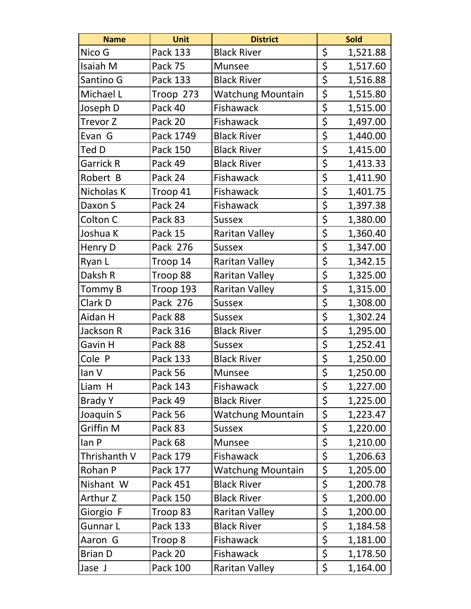| <b>Name</b>      | Unit      | <b>District</b>          |                  | <b>Sold</b> |
|------------------|-----------|--------------------------|------------------|-------------|
| Nico G           | Pack 133  | <b>Black River</b>       | \$               | 1,521.88    |
| Isaiah M         | Pack 75   | Munsee                   | \$               | 1,517.60    |
| Santino G        | Pack 133  | <b>Black River</b>       | \$               | 1,516.88    |
| Michael L        | Troop 273 | <b>Watchung Mountain</b> | \$               | 1,515.80    |
| Joseph D         | Pack 40   | Fishawack                | \$               | 1,515.00    |
| Trevor Z         | Pack 20   | Fishawack                | \$               | 1,497.00    |
| Evan G           | Pack 1749 | <b>Black River</b>       | \$               | 1,440.00    |
| Ted D            | Pack 150  | <b>Black River</b>       | \$               | 1,415.00    |
| <b>Garrick R</b> | Pack 49   | <b>Black River</b>       | \$               | 1,413.33    |
| Robert B         | Pack 24   | Fishawack                | \$               | 1,411.90    |
| Nicholas K       | Troop 41  | Fishawack                | \$               | 1,401.75    |
| Daxon S          | Pack 24   | Fishawack                | \$               | 1,397.38    |
| Colton C         | Pack 83   | <b>Sussex</b>            | \$               | 1,380.00    |
| Joshua K         | Pack 15   | <b>Raritan Valley</b>    | \$               | 1,360.40    |
| Henry D          | Pack 276  | <b>Sussex</b>            | \$               | 1,347.00    |
| Ryan L           | Troop 14  | <b>Raritan Valley</b>    | \$               | 1,342.15    |
| Daksh R          | Troop 88  | Raritan Valley           | \$               | 1,325.00    |
| Tommy B          | Troop 193 | <b>Raritan Valley</b>    | \$               | 1,315.00    |
| Clark D          | Pack 276  | <b>Sussex</b>            | $\overline{\xi}$ | 1,308.00    |
| Aidan H          | Pack 88   | <b>Sussex</b>            | \$               | 1,302.24    |
| Jackson R        | Pack 316  | <b>Black River</b>       | \$               | 1,295.00    |
| Gavin H          | Pack 88   | <b>Sussex</b>            | \$               | 1,252.41    |
| Cole P           | Pack 133  | <b>Black River</b>       | $\overline{\xi}$ | 1,250.00    |
| lan V            | Pack 56   | <b>Munsee</b>            | \$               | 1,250.00    |
| Liam H           | Pack 143  | Fishawack                | \$               | 1,227.00    |
| <b>Brady Y</b>   | Pack 49   | <b>Black River</b>       | \$               | 1,225.00    |
| Joaquin S        | Pack 56   | <b>Watchung Mountain</b> | \$               | 1,223.47    |
| Griffin M        | Pack 83   | <b>Sussex</b>            | \$               | 1,220.00    |
| lan P            | Pack 68   | Munsee                   | \$               | 1,210.00    |
| Thrishanth V     | Pack 179  | Fishawack                | \$               | 1,206.63    |
| Rohan P          | Pack 177  | <b>Watchung Mountain</b> | \$               | 1,205.00    |
| Nishant W        | Pack 451  | <b>Black River</b>       | \$               | 1,200.78    |
| Arthur Z         | Pack 150  | <b>Black River</b>       | \$               | 1,200.00    |
| Giorgio F        | Troop 83  | <b>Raritan Valley</b>    | \$               | 1,200.00    |
| Gunnar L         | Pack 133  | <b>Black River</b>       | \$               | 1,184.58    |
| Aaron G          | Troop 8   | Fishawack                | \$               | 1,181.00    |
| <b>Brian D</b>   | Pack 20   | <b>Fishawack</b>         | \$               | 1,178.50    |
| Jase J           | Pack 100  | <b>Raritan Valley</b>    | \$               | 1,164.00    |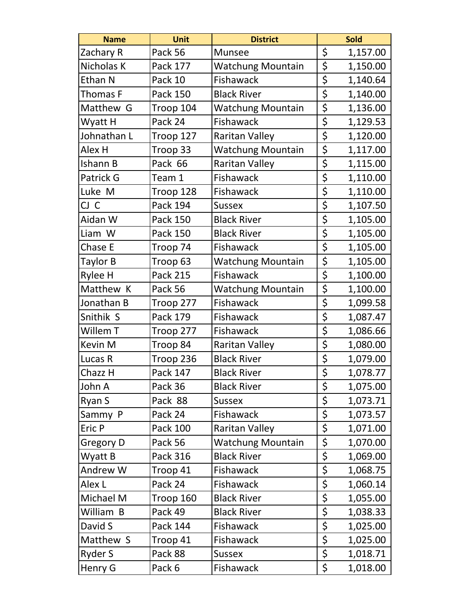| <b>Name</b> | <b>Unit</b>     | <b>District</b>          | <b>Sold</b>    |
|-------------|-----------------|--------------------------|----------------|
| Zachary R   | Pack 56         | <b>Munsee</b>            | \$<br>1,157.00 |
| Nicholas K  | Pack 177        | <b>Watchung Mountain</b> | \$<br>1,150.00 |
| Ethan N     | Pack 10         | Fishawack                | \$<br>1,140.64 |
| Thomas F    | Pack 150        | <b>Black River</b>       | \$<br>1,140.00 |
| Matthew G   | Troop 104       | <b>Watchung Mountain</b> | \$<br>1,136.00 |
| Wyatt H     | Pack 24         | Fishawack                | \$<br>1,129.53 |
| Johnathan L | Troop 127       | <b>Raritan Valley</b>    | \$<br>1,120.00 |
| Alex H      | Troop 33        | <b>Watchung Mountain</b> | \$<br>1,117.00 |
| Ishann B    | Pack 66         | <b>Raritan Valley</b>    | \$<br>1,115.00 |
| Patrick G   | Team 1          | Fishawack                | \$<br>1,110.00 |
| Luke M      | Troop 128       | Fishawack                | \$<br>1,110.00 |
| CJ C        | <b>Pack 194</b> | Sussex                   | \$<br>1,107.50 |
| Aidan W     | Pack 150        | <b>Black River</b>       | \$<br>1,105.00 |
| Liam W      | Pack 150        | <b>Black River</b>       | \$<br>1,105.00 |
| Chase E     | Troop 74        | Fishawack                | \$<br>1,105.00 |
| Taylor B    | Troop 63        | Watchung Mountain        | \$<br>1,105.00 |
| Rylee H     | Pack 215        | Fishawack                | \$<br>1,100.00 |
| Matthew K   | Pack 56         | Watchung Mountain        | \$<br>1,100.00 |
| Jonathan B  | Troop 277       | Fishawack                | \$<br>1,099.58 |
| Snithik S   | Pack 179        | Fishawack                | \$<br>1,087.47 |
| Willem T    | Troop 277       | Fishawack                | \$<br>1,086.66 |
| Kevin M     | Troop 84        | <b>Raritan Valley</b>    | \$<br>1,080.00 |
| Lucas R     | Troop 236       | <b>Black River</b>       | \$<br>1,079.00 |
| Chazz H     | Pack 147        | <b>Black River</b>       | \$<br>1,078.77 |
| John A      | Pack 36         | <b>Black River</b>       | \$<br>1,075.00 |
| Ryan S      | Pack 88         | <b>Sussex</b>            | \$<br>1,073.71 |
| Sammy P     | Pack 24         | Fishawack                | \$<br>1,073.57 |
| Eric P      | Pack 100        | <b>Raritan Valley</b>    | \$<br>1,071.00 |
| Gregory D   | Pack 56         | <b>Watchung Mountain</b> | \$<br>1,070.00 |
| Wyatt B     | Pack 316        | <b>Black River</b>       | \$<br>1,069.00 |
| Andrew W    | Troop 41        | <b>Fishawack</b>         | \$<br>1,068.75 |
| Alex L      | Pack 24         | Fishawack                | \$<br>1,060.14 |
| Michael M   | Troop 160       | <b>Black River</b>       | \$<br>1,055.00 |
| William B   | Pack 49         | <b>Black River</b>       | \$<br>1,038.33 |
| David S     | Pack 144        | <b>Fishawack</b>         | \$<br>1,025.00 |
| Matthew S   | Troop 41        | Fishawack                | \$<br>1,025.00 |
| Ryder S     | Pack 88         | <b>Sussex</b>            | \$<br>1,018.71 |
| Henry G     | Pack 6          | Fishawack                | \$<br>1,018.00 |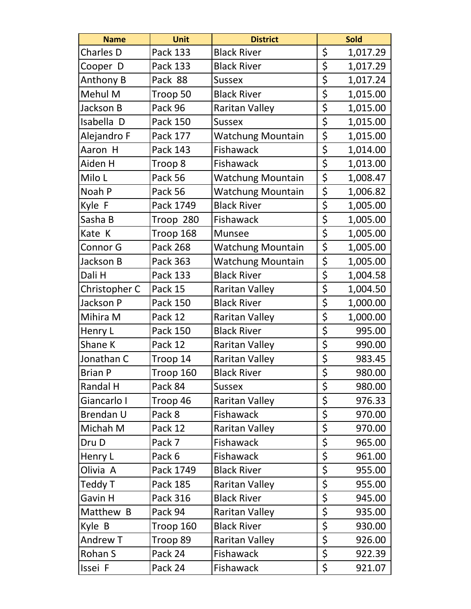| <b>Name</b>      | <b>Unit</b>     | <b>District</b>          |                                 | <b>Sold</b> |
|------------------|-----------------|--------------------------|---------------------------------|-------------|
| <b>Charles D</b> | Pack 133        | <b>Black River</b>       | \$                              | 1,017.29    |
| Cooper D         | Pack 133        | <b>Black River</b>       | \$                              | 1,017.29    |
| Anthony B        | Pack 88         | <b>Sussex</b>            | \$                              | 1,017.24    |
| Mehul M          | Troop 50        | <b>Black River</b>       | \$                              | 1,015.00    |
| Jackson B        | Pack 96         | <b>Raritan Valley</b>    | \$                              | 1,015.00    |
| Isabella D       | Pack 150        | <b>Sussex</b>            | \$                              | 1,015.00    |
| Alejandro F      | Pack 177        | <b>Watchung Mountain</b> | \$                              | 1,015.00    |
| Aaron H          | Pack 143        | Fishawack                | \$                              | 1,014.00    |
| Aiden H          | Troop 8         | Fishawack                | \$                              | 1,013.00    |
| Milo L           | Pack 56         | <b>Watchung Mountain</b> | \$                              | 1,008.47    |
| Noah P           | Pack 56         | <b>Watchung Mountain</b> | \$                              | 1,006.82    |
| Kyle F           | Pack 1749       | <b>Black River</b>       | \$                              | 1,005.00    |
| Sasha B          | Troop 280       | Fishawack                | \$                              | 1,005.00    |
| Kate K           | Troop 168       | <b>Munsee</b>            | \$                              | 1,005.00    |
| Connor G         | <b>Pack 268</b> | <b>Watchung Mountain</b> | \$                              | 1,005.00    |
| Jackson B        | Pack 363        | Watchung Mountain        | \$                              | 1,005.00    |
| Dali H           | Pack 133        | <b>Black River</b>       | \$                              | 1,004.58    |
| Christopher C    | Pack 15         | <b>Raritan Valley</b>    | \$                              | 1,004.50    |
| Jackson P        | Pack 150        | <b>Black River</b>       | \$                              | 1,000.00    |
| Mihira M         | Pack 12         | <b>Raritan Valley</b>    | \$                              | 1,000.00    |
| Henry L          | Pack 150        | <b>Black River</b>       | \$                              | 995.00      |
| Shane K          | Pack 12         | Raritan Valley           | \$                              | 990.00      |
| Jonathan C       | Troop 14        | <b>Raritan Valley</b>    | $\overline{\boldsymbol{\zeta}}$ | 983.45      |
| <b>Brian P</b>   | Troop 160       | <b>Black River</b>       | \$                              | 980.00      |
| Randal H         | Pack 84         | <b>Sussex</b>            | \$                              | 980.00      |
| Giancarlo I      | Troop 46        | <b>Raritan Valley</b>    | \$                              | 976.33      |
| Brendan U        | Pack 8          | <b>Fishawack</b>         | \$                              | 970.00      |
| Michah M         | Pack 12         | Raritan Valley           | \$                              | 970.00      |
| Dru D            | Pack 7          | Fishawack                | \$                              | 965.00      |
| Henry L          | Pack 6          | Fishawack                | \$                              | 961.00      |
| Olivia A         | Pack 1749       | <b>Black River</b>       | \$                              | 955.00      |
| Teddy T          | Pack 185        | <b>Raritan Valley</b>    | $\overline{\xi}$                | 955.00      |
| Gavin H          | Pack 316        | <b>Black River</b>       | \$                              | 945.00      |
| Matthew B        | Pack 94         | Raritan Valley           | \$                              | 935.00      |
| Kyle B           | Troop 160       | <b>Black River</b>       | \$                              | 930.00      |
| Andrew T         | Troop 89        | Raritan Valley           | \$                              | 926.00      |
| Rohan S          | Pack 24         | <b>Fishawack</b>         | \$                              | 922.39      |
| Issei F          | Pack 24         | Fishawack                | \$                              | 921.07      |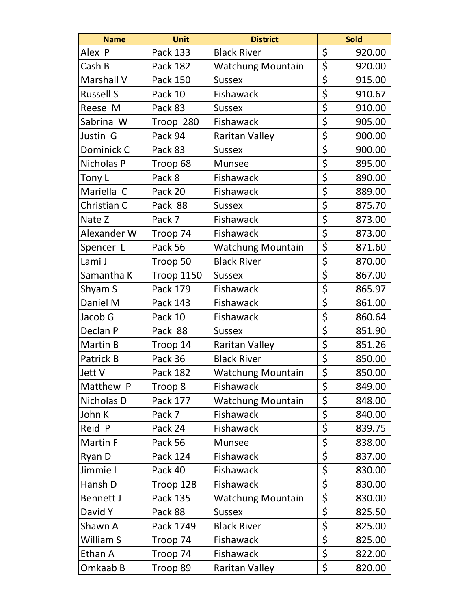| <b>Name</b>      | <b>Unit</b> | <b>District</b>          |                         | <b>Sold</b> |
|------------------|-------------|--------------------------|-------------------------|-------------|
| Alex P           | Pack 133    | <b>Black River</b>       | \$                      | 920.00      |
| Cash B           | Pack 182    | <b>Watchung Mountain</b> | \$                      | 920.00      |
| Marshall V       | Pack 150    | <b>Sussex</b>            | \$                      | 915.00      |
| <b>Russell S</b> | Pack 10     | Fishawack                | \$                      | 910.67      |
| Reese M          | Pack 83     | <b>Sussex</b>            | \$                      | 910.00      |
| Sabrina W        | Troop 280   | Fishawack                | \$                      | 905.00      |
| Justin G         | Pack 94     | <b>Raritan Valley</b>    | \$                      | 900.00      |
| Dominick C       | Pack 83     | <b>Sussex</b>            | \$                      | 900.00      |
| Nicholas P       | Troop 68    | Munsee                   | \$                      | 895.00      |
| Tony L           | Pack 8      | Fishawack                | \$                      | 890.00      |
| Mariella C       | Pack 20     | Fishawack                | \$                      | 889.00      |
| Christian C      | Pack 88     | <b>Sussex</b>            | \$                      | 875.70      |
| Nate Z           | Pack 7      | Fishawack                | \$                      | 873.00      |
| Alexander W      | Troop 74    | Fishawack                | \$                      | 873.00      |
| Spencer L        | Pack 56     | <b>Watchung Mountain</b> | \$                      | 871.60      |
| Lami J           | Troop 50    | <b>Black River</b>       | \$                      | 870.00      |
| Samantha K       | Troop 1150  | Sussex                   | \$                      | 867.00      |
| Shyam S          | Pack 179    | Fishawack                | \$                      | 865.97      |
| Daniel M         | Pack 143    | Fishawack                | \$                      | 861.00      |
| Jacob G          | Pack 10     | Fishawack                | \$                      | 860.64      |
| Declan P         | Pack 88     | <b>Sussex</b>            | \$                      | 851.90      |
| Martin B         | Troop 14    | <b>Raritan Valley</b>    | \$                      | 851.26      |
| Patrick B        | Pack 36     | <b>Black River</b>       | \$                      | 850.00      |
| Jett V           | Pack 182    | <b>Watchung Mountain</b> | $\overline{\mathsf{s}}$ | 850.00      |
| Matthew P        | Troop 8     | Fishawack                | \$                      | 849.00      |
| Nicholas D       | Pack 177    | <b>Watchung Mountain</b> | \$                      | 848.00      |
| John K           | Pack 7      | <b>Fishawack</b>         | \$                      | 840.00      |
| Reid P           | Pack 24     | Fishawack                | \$                      | 839.75      |
| Martin F         | Pack 56     | Munsee                   | \$                      | 838.00      |
| Ryan D           | Pack 124    | Fishawack                | \$                      | 837.00      |
| Jimmie L         | Pack 40     | Fishawack                | \$                      | 830.00      |
| Hansh D          | Troop 128   | Fishawack                | \$                      | 830.00      |
| <b>Bennett J</b> | Pack 135    | <b>Watchung Mountain</b> | \$                      | 830.00      |
| David Y          | Pack 88     | <b>Sussex</b>            | \$                      | 825.50      |
| Shawn A          | Pack 1749   | <b>Black River</b>       | \$                      | 825.00      |
| William S        | Troop 74    | Fishawack                | \$                      | 825.00      |
| Ethan A          | Troop 74    | <b>Fishawack</b>         | \$                      | 822.00      |
| Omkaab B         | Troop 89    | Raritan Valley           | \$                      | 820.00      |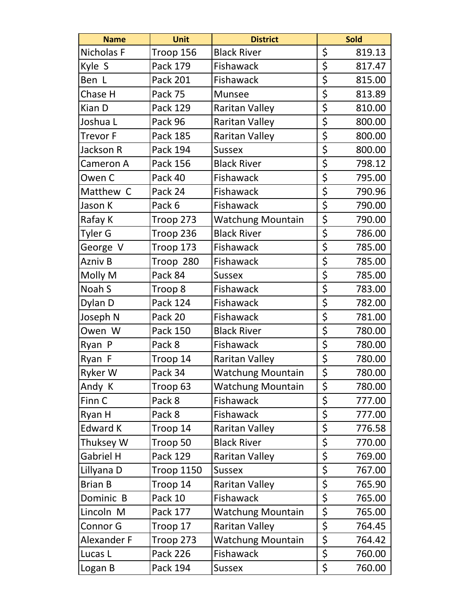| <b>Name</b>     | <b>Unit</b>       | <b>District</b>          |                                 | Sold   |
|-----------------|-------------------|--------------------------|---------------------------------|--------|
| Nicholas F      | Troop 156         | <b>Black River</b>       | \$                              | 819.13 |
| Kyle S          | Pack 179          | Fishawack                | \$                              | 817.47 |
| Ben L           | Pack 201          | Fishawack                | \$                              | 815.00 |
| Chase H         | Pack 75           | <b>Munsee</b>            | \$                              | 813.89 |
| Kian D          | Pack 129          | <b>Raritan Valley</b>    | \$                              | 810.00 |
| Joshua L        | Pack 96           | <b>Raritan Valley</b>    | \$                              | 800.00 |
| <b>Trevor F</b> | Pack 185          | <b>Raritan Valley</b>    | \$                              | 800.00 |
| Jackson R       | Pack 194          | <b>Sussex</b>            | \$                              | 800.00 |
| Cameron A       | Pack 156          | <b>Black River</b>       | \$                              | 798.12 |
| Owen C          | Pack 40           | Fishawack                | \$                              | 795.00 |
| Matthew C       | Pack 24           | Fishawack                | \$                              | 790.96 |
| Jason K         | Pack 6            | Fishawack                | \$                              | 790.00 |
| Rafay K         | Troop 273         | <b>Watchung Mountain</b> | \$                              | 790.00 |
| Tyler G         | Troop 236         | <b>Black River</b>       | \$                              | 786.00 |
| George V        | Troop 173         | Fishawack                | \$                              | 785.00 |
| Azniv B         | Troop 280         | Fishawack                | \$                              | 785.00 |
| Molly M         | Pack 84           | <b>Sussex</b>            | \$                              | 785.00 |
| Noah S          | Troop 8           | Fishawack                | \$                              | 783.00 |
| Dylan D         | <b>Pack 124</b>   | Fishawack                | \$                              | 782.00 |
| Joseph N        | Pack 20           | Fishawack                | \$                              | 781.00 |
| Owen W          | Pack 150          | <b>Black River</b>       | \$                              | 780.00 |
| Ryan P          | Pack 8            | Fishawack                | \$                              | 780.00 |
| Ryan F          | Troop 14          | <b>Raritan Valley</b>    | $\overline{\boldsymbol{\zeta}}$ | 780.00 |
| Ryker W         | Pack 34           | <b>Watchung Mountain</b> | \$                              | 780.00 |
| Andy K          | Troop 63          | <b>Watchung Mountain</b> | \$                              | 780.00 |
| Finn C          | Pack 8            | Fishawack                | \$                              | 777.00 |
| Ryan H          | Pack 8            | Fishawack                | \$                              | 777.00 |
| <b>Edward K</b> | Troop 14          | <b>Raritan Valley</b>    | \$                              | 776.58 |
| Thuksey W       | Troop 50          | <b>Black River</b>       | \$                              | 770.00 |
| Gabriel H       | Pack 129          | <b>Raritan Valley</b>    | \$                              | 769.00 |
| Lillyana D      | <b>Troop 1150</b> | <b>Sussex</b>            | \$                              | 767.00 |
| <b>Brian B</b>  | Troop 14          | <b>Raritan Valley</b>    | \$                              | 765.90 |
| Dominic B       | Pack 10           | Fishawack                | \$                              | 765.00 |
| Lincoln M       | Pack 177          | <b>Watchung Mountain</b> | $\overline{\mathsf{S}}$         | 765.00 |
| <b>Connor G</b> | Troop 17          | <b>Raritan Valley</b>    | \$                              | 764.45 |
| Alexander F     | Troop 273         | <b>Watchung Mountain</b> | \$                              | 764.42 |
| Lucas L         | <b>Pack 226</b>   | Fishawack                | \$                              | 760.00 |
| Logan B         | Pack 194          | <b>Sussex</b>            | \$                              | 760.00 |